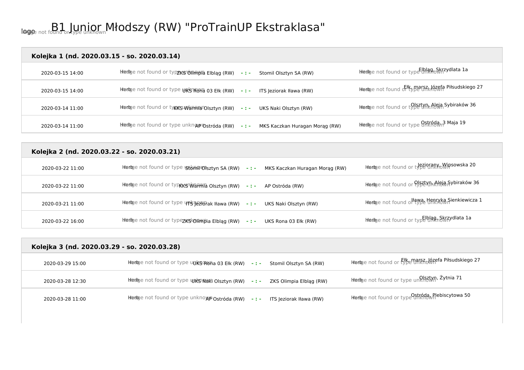## logo Image not found or type unknown B1 Junior Młodszy (RW) "ProTrainUP Ekstraklasa"

#### **Kolejka 1 (nd. 2020.03.15 - so. 2020.03.14)**

| 2020-03-15 14:00 | hhedge not found or typzksrohim bia Elbląg (RW) – : -<br>Stomil Olsztyn SA (RW)     | hhedoge not found or type $\mathsf{EIn}_{\mathsf{RP}\circ\mathsf{S}\mathsf{MT}}$ ydlata 1a |
|------------------|-------------------------------------------------------------------------------------|--------------------------------------------------------------------------------------------|
| 2020-03-15 14:00 | Hinedige not found or type URS RUMA 03 Elk (RW) -:- ITS Jeziorak Iława (RW)         | hhedge not found of kymarszklózefa Piłsudskiego 27                                         |
| 2020-03-14 11:00 | hhedge not found or types Warmia Olsztyn (RW) - : -<br>UKS Naki Olsztyn (RW)        | Hiedoje not found or type Unk Aleja Sybiraków 36                                           |
| 2020-03-14 11:00 | Hnedaje not found or type unknoprostróda (RW) -:-<br>MKS Kaczkan Huragan Morag (RW) | hhedge not found or type <b>Ontroda<sub>un</sub>3 Maja 19</b>                              |

# **Kolejka 2 (nd. 2020.03.22 - so. 2020.03.21)**  ord Herb Indian Herb Indian Indian Indian Stophed University of the University of the University of the Universi<br>2020-03-22 11:00 https://wipsowska.html of type unknownstype unknown Stophed Indian University of the Univer 2020-03-22 11:00 **hierb**e not found or type ks Wan Mia Olsztyn (RW) -:- AP Ostróda (RW) herb image not found or type unknown Aleja Sybiraków 36 2020-03-21 11:00 hterb Image not found or type பர்த்ருவர்க்க Iława (RW) **- : -** UKS Naki Olsztyn (RW) hterbe not found o<sup>ll</sup>awa Henryka Sienkiewicza 1 2020-03-22 16:00 **Herb**e not found or type **xks ORWR**ia Elbląg (RW) **- : -** UKS Rona 03 Ełk (RW) Herb Image not found or type unknown Elbląg, Skrzydlata 1a

| Kolejka 3 (nd. 2020.03.29 - so. 2020.03.28) |                                                                                |                                                            |  |
|---------------------------------------------|--------------------------------------------------------------------------------|------------------------------------------------------------|--|
| 2020-03-29 15:00                            | Hedge not found or type unks mona 03 Elk (RW) -:-<br>Stomil Olsztyn SA (RW)    | Hiedoje not found or Efkemarsz Józefa Piłsudskiego 27      |  |
| 2020-03-28 12:30                            | Hiedge not found or type unks Nuki Olsztyn (RW) -: - ZKS Olimpia Elbląg (RW)   | Hiedge not found or type un <mark>RIstyn, Żytnia 71</mark> |  |
| 2020-03-28 11:00                            | <b>Hiedge not found or type unknowpostróda (RW) -:- ITS Jeziorak Hawa (RW)</b> | Hiedge not found or type Ostróda, Plebiscytowa 50          |  |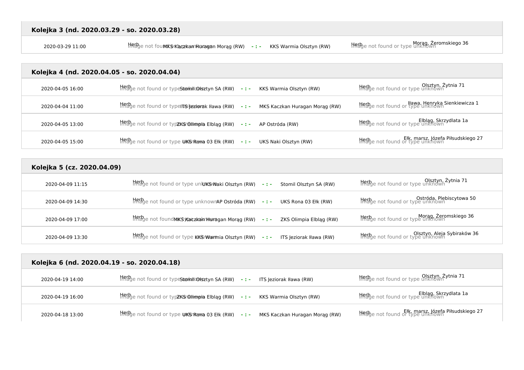Morag, Żeromskiego 36<br>Morag, Żeromskiego 36 Herb India Morag (RW) - : - KKS Warmia Olsztyn (RW) Morage not found or type unknown

#### **Kolejka 4 (nd. 2020.04.05 - so. 2020.04.04)**

| 2020-04-05 16:00 | fination of found or type Storinit Colls ztyn SA (RW) -:-<br>KKS Warmia Olsztyn (RW)             | Olsztyn, Żytnia 71<br>Hitage not found or type unknown                 |
|------------------|--------------------------------------------------------------------------------------------------|------------------------------------------------------------------------|
| 2020-04-04 11:00 | Hingle not found or typeITS reziorak I hawa (RW) -:-<br>MKS Kaczkan Huragan Morag (RW)           | Iława, Henryka Sienkiewicza 1<br>HRBge not found or type unknown       |
| 2020-04-05 13:00 | $H_{\text{H}}^{\text{H}}$ ge not found or typ <b>zk@r@limpia Elbląg (RW)</b> -:- AP Ostróda (RW) | Elblag, Skrzydlata 1a<br>Hinage not found or type unknown              |
| 2020-04-05 15:00 | $\frac{1}{2}$ $\frac{1}{2}$ and found or type UKS Roma 03 Elk (RW) -:-<br>UKS Naki Olsztyn (RW)  | Ełk, marsz, Józefa Piłsudskiego 27<br>Hitage not found or type unknown |

| Kolejka 5 (cz. 2020.04.09) |                                                                                         |                                                                    |
|----------------------------|-----------------------------------------------------------------------------------------|--------------------------------------------------------------------|
| 2020-04-09 11:15           | Hetbye not found or type unkuks Naki Olsztyn (RW) -:-<br>Stomil Olsztyn SA (RW)         | Disztyn, Żytnia 71                                                 |
| 2020-04-09 14:30           |                                                                                         | Herbe not found or type unknown<br>Thebe not found or type unknown |
| 2020-04-09 17:00           | Hinalge not found MKS Kaczkak hiduragan Morag (RW) -:- ZKS Olimpia Elbląg (RW)          | Morag, Żeromskiego 36<br>Histye not found or type unknown          |
| 2020-04-09 13:30           | $\frac{1}{100}$ and found or type KKSI Warmia Olsztyn (RW) -: - ITS Jeziorak Iława (RW) | Olsztyn, Aleja Sybiraków 36<br>Inage not found or type unknown     |

| Kolejka 6 (nd. 2020.04.19 - so. 2020.04.18) |                                                                                            |                                                                        |
|---------------------------------------------|--------------------------------------------------------------------------------------------|------------------------------------------------------------------------|
| 2020-04-19 14:00                            | $\frac{1}{100}$ and found or type Stomini Olisztyn SA (RW) -:- ITS Jeziorak Iława (RW)     | Olsztyn, Żytnia 71<br>Thebje not found or type unknown                 |
| 2020-04-19 16:00                            | $\frac{1}{100}$ and found or typzks chimpia Elblag (RW) -:- KKS Warmia Olsztyn (RW)        | Elblag, Skrzydlata 1a<br>HREge not found or type unknown               |
| 2020-04-18 13:00                            | $\frac{1}{100}$ and found or type UKS Roma 03 Elk (RW) -: - MKS Kaczkan Huragan Morag (RW) | Ełk, marsz, Józefa Piłsudskiego 27<br>Hitage not found or type unknown |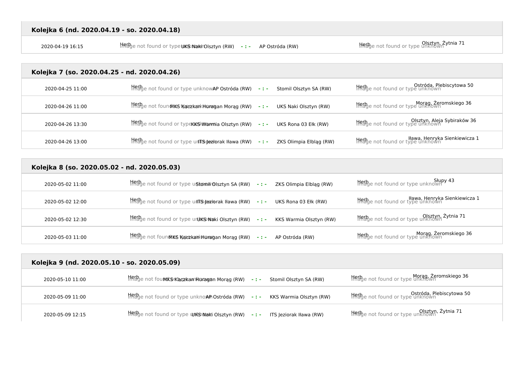2020-04-19 16:15 Herb Image not found or type unknown UKS Naki Olsztyn (RW) **- : -** AP Ostróda (RW) Herb Image not found or type unknown Olsztyn, Żytnia 71

#### **Kolejka 7 (so. 2020.04.25 - nd. 2020.04.26)**

| 2020-04-25 11:00 | Herbe not found or type unknowAP Ostróda (RW) - : -<br>Stomil Olsztyn SA (RW)   | Ostróda, Plebiscytowa 50                                                     |
|------------------|---------------------------------------------------------------------------------|------------------------------------------------------------------------------|
| 2020-04-26 11:00 | hffBge not foun MKS Қаса kank Huragan Morag (RW) -:- UKS Naki Olsztyn (RW)      | Morag, Żeromskiego 36<br>Hitage not found or type unknown                    |
| 2020-04-26 13:30 | HRED e not found or typeKKS Warmia Olsztyn (RW) -:- UKS Rona 03 Ełk (RW)        | Olsztyn, Aleja Sybiraków 36<br>Hitage not found or type unknown              |
| 2020-04-26 13:00 | Hetbye not found or type unks geziorak Hawa (RW) -:-<br>ZKS Olimpia Elbląg (RW) | <b>Herb</b> e not found or type unknown<br>Histoge not found or type unknown |

| Kolejka 8 (so. 2020.05.02 - nd. 2020.05.03) |                                                                                                                  |                                                                  |
|---------------------------------------------|------------------------------------------------------------------------------------------------------------------|------------------------------------------------------------------|
| 2020-05-02 11:00                            | $Hf_{\text{eff}}^{ch}$ e not found or type u <b>StomivOlsztyn SA (RW)</b> -: - ZKS Olimpia Elbląg (RW)           | Slupy 43<br>Hingle not found or type unknown                     |
| 2020-05-02 12:00                            | Heep not found or type unts reviorak Hawa (RW) -: - UKS Rona 03 Elk (RW)                                         | Ilawa, Henryka Sienkiewicza 1<br>Thaye not found or type unknown |
| 2020-05-02 12:30                            | $H_{\text{eff}}^{\text{FB}}$ e not found or type unkt $\mathbb S$ Naki Olsztyn (RW) -: - KKS Warmia Olsztyn (RW) | Olsztyn, Żytnia 71<br>HRBge not found or type unknown            |
| 2020-05-03 11:00                            | HREbje not foun MKS Kaczkan (Horagan Morag (RW) -:- AP Ostróda (RW)                                              | Morag, Żeromskiego 36<br>Histye not found or type unknown        |

| Kolejka 9 (nd. 2020.05.10 - so. 2020.05.09) |                                                                                                          |                                                                         |  |
|---------------------------------------------|----------------------------------------------------------------------------------------------------------|-------------------------------------------------------------------------|--|
| 2020-05-10 11:00                            | Hingge not fou MikSikagzkan Huragan Morag (RW) -:- Stomil Olsztyn SA (RW)                                | Morag, Żeromskiego 36<br>Histo <sub>g</sub> e not found or type unknown |  |
| 2020-05-09 11:00                            | $Hf_{\text{H}}^{th}$ ge not found or type unkno $AP$ Ostróda (RW) -:- KKS Warmia Olsztyn (RW)            | <b>Detróda, Plebiscytowa 50</b><br>Helbe not found or type unknown      |  |
| 2020-05-09 12:15                            | $\frac{1}{2}$ $\frac{1}{2}$ and found or type <b>WKS Naki Olsztyn (RW)</b> - : - ITS Jeziorak Iława (RW) | Dlsztyn, Żytnia 71<br>Hinage not found or type unknown                  |  |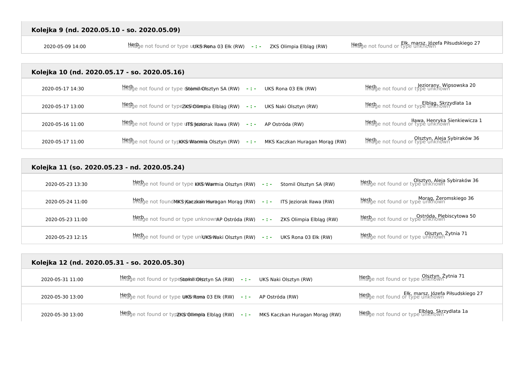Ełk, marsz. Józefa Piłsudskiego 27 **Herb Image 14:00** Merb Image not found or type u**uks Rona 03 Ełk (RW)** - : - ZKS Olimpia Elbląg (RW) Herb in tound or type unknown Elblag (RW) - i - ZKS Olimpia Elbląg (RW) + Herb in th

### **Kolejka 10 (nd. 2020.05.17 - so. 2020.05.16)**

| 2020-05-17 14:30 | HRED en ot found or type Gotomil Olsztyn SA (RW) -:- UKS Rona 03 Ełk (RW)              | Herb <sub>ge</sub> not found or type unknown<br>Herbge not found or type unknown |
|------------------|----------------------------------------------------------------------------------------|----------------------------------------------------------------------------------|
| 2020-05-17 13:00 | Hingbye not found or type <b>zkisk Olimpia Elbląg (RW) - : - UKS Naki Olsztyn (RW)</b> | Elblag, Skrzydlata 1a<br>HRBge not found or type unknown                         |
| 2020-05-16 11:00 | Hingge not found or type un superiorak Hawa (RW) - : - AP Ostróda (RW)                 | <b>Herb</b> e not found or type unknown<br>History of type unknown               |
| 2020-05-17 11:00 | HRED en ot found or typkKSNWarmia Olsztyn (RW) -:- MKS Kaczkan Huragan Morąg (RW)      | <b>Herb</b> e not found or type unknown<br>Hildge not found or type unknown      |

#### **Kolejka 11 (so. 2020.05.23 - nd. 2020.05.24)**

| 2020-05-23 13:30 | $\frac{1}{100}$ and found or type KKSI Warmia Olsztyn (RW) -: - Stomil Olsztyn SA (RW)                                                                                                                                                                                                                                                                                                                                                                                                                                                                                     | Olsztyn, Aleja Sybiraków 36<br>Histye not found or type unknown            |
|------------------|----------------------------------------------------------------------------------------------------------------------------------------------------------------------------------------------------------------------------------------------------------------------------------------------------------------------------------------------------------------------------------------------------------------------------------------------------------------------------------------------------------------------------------------------------------------------------|----------------------------------------------------------------------------|
| 2020-05-24 11:00 | $\frac{1}{100}$ mot found MKS Kaczkaki Houragan Morag (RW) -:- ITS Jeziorak Iława (RW)                                                                                                                                                                                                                                                                                                                                                                                                                                                                                     | Morag, Żeromskiego 36<br>Histo <sub>g</sub> e not found or type unknown    |
| 2020-05-23 11:00 | $H\rightarrow$ $H\rightarrow$ $H\rightarrow$ $H\rightarrow$ $H\rightarrow$ $H\rightarrow$ $H\rightarrow$ $H\rightarrow$ $H\rightarrow$ $H\rightarrow$ $H\rightarrow$ $H\rightarrow$ $H\rightarrow$ $H\rightarrow$ $H\rightarrow$ $H\rightarrow$ $H\rightarrow$ $H\rightarrow$ $H\rightarrow$ $H\rightarrow$ $H\rightarrow$ $H\rightarrow$ $H\rightarrow$ $H\rightarrow$ $H\rightarrow$ $H\rightarrow$ $H\rightarrow$ $H\rightarrow$ $H\rightarrow$ $H\rightarrow$ $H\rightarrow$ $H\rightarrow$ $H\rightarrow$ $H\rightarrow$ $H\rightarrow$ $H\rightarrow$ $H\rightarrow$ | <b>Herb</b> e not found or type unknown<br>Inage not found or type unknown |
| 2020-05-23 12:15 | $\frac{1}{100}$ and found or type unkut SM aki Olsztyn (RW) -:- UKS Rona 03 Elk (RW)                                                                                                                                                                                                                                                                                                                                                                                                                                                                                       | Olsztyn, Żytnia 71<br>HREge not found or type unknown                      |

| Kolejka 12 (nd. 2020.05.31 - so. 2020.05.30) |                                                                                                               |                                                                        |
|----------------------------------------------|---------------------------------------------------------------------------------------------------------------|------------------------------------------------------------------------|
| 2020-05-31 11:00                             | $\frac{1}{2}$ and found or type strom interestyn SA (RW) -: - UKS Naki Olsztyn (RW)                           | Olsztyn, Żytnia 71<br>Helbe not found or type unknown                  |
| 2020-05-30 13:00                             | $H_{\text{B}}^{\text{R}}E_{\text{Q}}^{\text{D}}$ e not found or type UKSrRoma 03 Ełk (RW) -:- AP Ostróda (RW) | Ełk, marsz, Józefa Piłsudskiego 27<br>Hitage not found or type unknown |
| 2020-05-30 13:00                             | Hingh not found or typzKSr@limpia Elbląg (RW) -:- MKS Kaczkan Huragan Morąg (RW)                              | Hetbe not found or type unknown                                        |